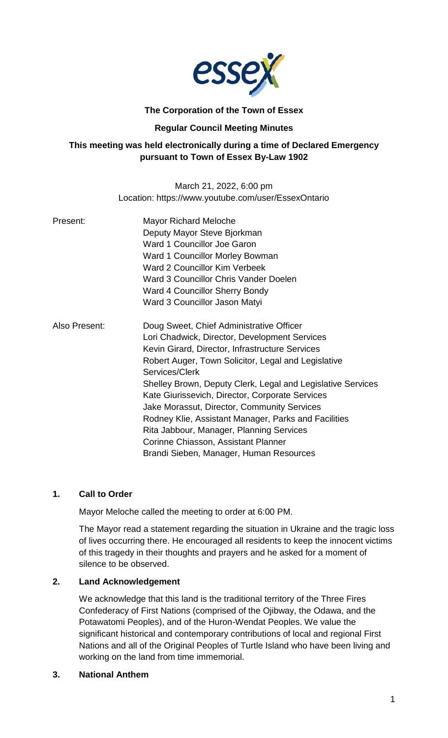

# **The Corporation of the Town of Essex**

# **Regular Council Meeting Minutes**

# **This meeting was held electronically during a time of Declared Emergency pursuant to Town of Essex By-Law 1902**

March 21, 2022, 6:00 pm Location: https://www.youtube.com/user/EssexOntario

| Present:      | <b>Mayor Richard Meloche</b><br>Deputy Mayor Steve Bjorkman<br>Ward 1 Councillor Joe Garon<br><b>Ward 1 Councillor Morley Bowman</b><br><b>Ward 2 Councillor Kim Verbeek</b><br>Ward 3 Councillor Chris Vander Doelen<br><b>Ward 4 Councillor Sherry Bondy</b>                                                                                                                                                                                                                             |
|---------------|--------------------------------------------------------------------------------------------------------------------------------------------------------------------------------------------------------------------------------------------------------------------------------------------------------------------------------------------------------------------------------------------------------------------------------------------------------------------------------------------|
|               | Ward 3 Councillor Jason Matyi                                                                                                                                                                                                                                                                                                                                                                                                                                                              |
| Also Present: | Doug Sweet, Chief Administrative Officer<br>Lori Chadwick, Director, Development Services<br>Kevin Girard, Director, Infrastructure Services<br>Robert Auger, Town Solicitor, Legal and Legislative<br>Services/Clerk<br>Shelley Brown, Deputy Clerk, Legal and Legislative Services<br>Kate Giurissevich, Director, Corporate Services<br>Jake Morassut, Director, Community Services<br>Rodney Klie, Assistant Manager, Parks and Facilities<br>Rita Jabbour, Manager, Planning Services |
|               | Corinne Chiasson, Assistant Planner                                                                                                                                                                                                                                                                                                                                                                                                                                                        |
|               | Brandi Sieben, Manager, Human Resources                                                                                                                                                                                                                                                                                                                                                                                                                                                    |

## **1. Call to Order**

Mayor Meloche called the meeting to order at 6:00 PM.

The Mayor read a statement regarding the situation in Ukraine and the tragic loss of lives occurring there. He encouraged all residents to keep the innocent victims of this tragedy in their thoughts and prayers and he asked for a moment of silence to be observed.

## **2. Land Acknowledgement**

We acknowledge that this land is the traditional territory of the Three Fires Confederacy of First Nations (comprised of the Ojibway, the Odawa, and the Potawatomi Peoples), and of the Huron-Wendat Peoples. We value the significant historical and contemporary contributions of local and regional First Nations and all of the Original Peoples of Turtle Island who have been living and working on the land from time immemorial.

## **3. National Anthem**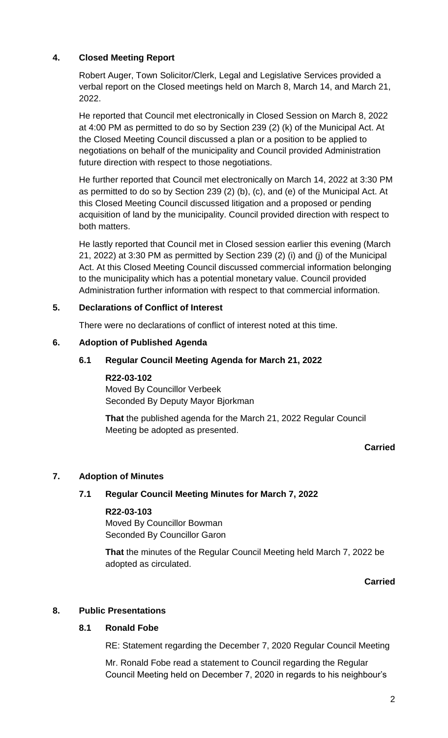# **4. Closed Meeting Report**

Robert Auger, Town Solicitor/Clerk, Legal and Legislative Services provided a verbal report on the Closed meetings held on March 8, March 14, and March 21, 2022.

He reported that Council met electronically in Closed Session on March 8, 2022 at 4:00 PM as permitted to do so by Section 239 (2) (k) of the Municipal Act. At the Closed Meeting Council discussed a plan or a position to be applied to negotiations on behalf of the municipality and Council provided Administration future direction with respect to those negotiations.

He further reported that Council met electronically on March 14, 2022 at 3:30 PM as permitted to do so by Section 239 (2) (b), (c), and (e) of the Municipal Act. At this Closed Meeting Council discussed litigation and a proposed or pending acquisition of land by the municipality. Council provided direction with respect to both matters.

He lastly reported that Council met in Closed session earlier this evening (March 21, 2022) at 3:30 PM as permitted by Section 239 (2) (i) and (j) of the Municipal Act. At this Closed Meeting Council discussed commercial information belonging to the municipality which has a potential monetary value. Council provided Administration further information with respect to that commercial information.

## **5. Declarations of Conflict of Interest**

There were no declarations of conflict of interest noted at this time.

## **6. Adoption of Published Agenda**

## **6.1 Regular Council Meeting Agenda for March 21, 2022**

## **R22-03-102**

Moved By Councillor Verbeek Seconded By Deputy Mayor Bjorkman

**That** the published agenda for the March 21, 2022 Regular Council Meeting be adopted as presented.

## **Carried**

## **7. Adoption of Minutes**

## **7.1 Regular Council Meeting Minutes for March 7, 2022**

## **R22-03-103**

Moved By Councillor Bowman Seconded By Councillor Garon

**That** the minutes of the Regular Council Meeting held March 7, 2022 be adopted as circulated.

## **Carried**

## **8. Public Presentations**

## **8.1 Ronald Fobe**

RE: Statement regarding the December 7, 2020 Regular Council Meeting

Mr. Ronald Fobe read a statement to Council regarding the Regular Council Meeting held on December 7, 2020 in regards to his neighbour's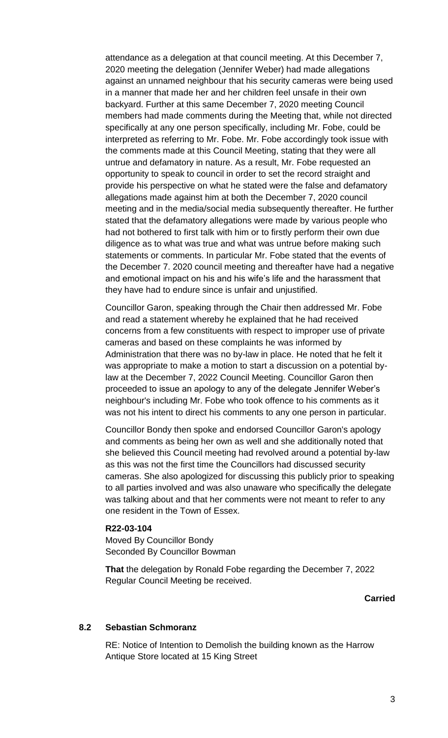attendance as a delegation at that council meeting. At this December 7, 2020 meeting the delegation (Jennifer Weber) had made allegations against an unnamed neighbour that his security cameras were being used in a manner that made her and her children feel unsafe in their own backyard. Further at this same December 7, 2020 meeting Council members had made comments during the Meeting that, while not directed specifically at any one person specifically, including Mr. Fobe, could be interpreted as referring to Mr. Fobe. Mr. Fobe accordingly took issue with the comments made at this Council Meeting, stating that they were all untrue and defamatory in nature. As a result, Mr. Fobe requested an opportunity to speak to council in order to set the record straight and provide his perspective on what he stated were the false and defamatory allegations made against him at both the December 7, 2020 council meeting and in the media/social media subsequently thereafter. He further stated that the defamatory allegations were made by various people who had not bothered to first talk with him or to firstly perform their own due diligence as to what was true and what was untrue before making such statements or comments. In particular Mr. Fobe stated that the events of the December 7. 2020 council meeting and thereafter have had a negative and emotional impact on his and his wife's life and the harassment that they have had to endure since is unfair and unjustified.

Councillor Garon, speaking through the Chair then addressed Mr. Fobe and read a statement whereby he explained that he had received concerns from a few constituents with respect to improper use of private cameras and based on these complaints he was informed by Administration that there was no by-law in place. He noted that he felt it was appropriate to make a motion to start a discussion on a potential bylaw at the December 7, 2022 Council Meeting. Councillor Garon then proceeded to issue an apology to any of the delegate Jennifer Weber's neighbour's including Mr. Fobe who took offence to his comments as it was not his intent to direct his comments to any one person in particular.

Councillor Bondy then spoke and endorsed Councillor Garon's apology and comments as being her own as well and she additionally noted that she believed this Council meeting had revolved around a potential by-law as this was not the first time the Councillors had discussed security cameras. She also apologized for discussing this publicly prior to speaking to all parties involved and was also unaware who specifically the delegate was talking about and that her comments were not meant to refer to any one resident in the Town of Essex.

#### **R22-03-104**

Moved By Councillor Bondy Seconded By Councillor Bowman

**That** the delegation by Ronald Fobe regarding the December 7, 2022 Regular Council Meeting be received.

**Carried**

### **8.2 Sebastian Schmoranz**

RE: Notice of Intention to Demolish the building known as the Harrow Antique Store located at 15 King Street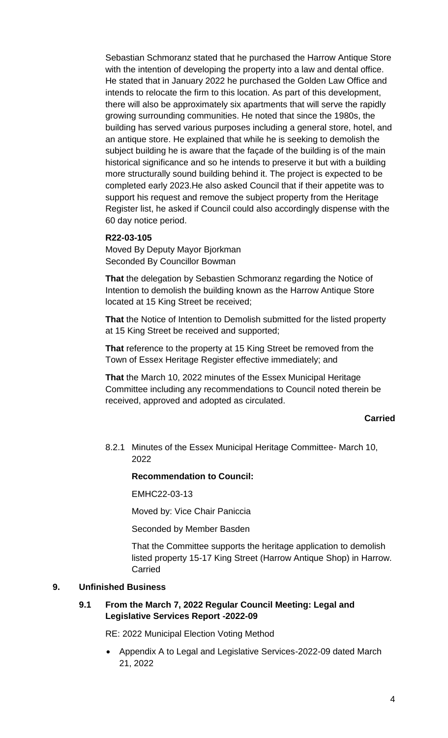Sebastian Schmoranz stated that he purchased the Harrow Antique Store with the intention of developing the property into a law and dental office. He stated that in January 2022 he purchased the Golden Law Office and intends to relocate the firm to this location. As part of this development, there will also be approximately six apartments that will serve the rapidly growing surrounding communities. He noted that since the 1980s, the building has served various purposes including a general store, hotel, and an antique store. He explained that while he is seeking to demolish the subject building he is aware that the façade of the building is of the main historical significance and so he intends to preserve it but with a building more structurally sound building behind it. The project is expected to be completed early 2023.He also asked Council that if their appetite was to support his request and remove the subject property from the Heritage Register list, he asked if Council could also accordingly dispense with the 60 day notice period.

### **R22-03-105**

Moved By Deputy Mayor Bjorkman Seconded By Councillor Bowman

**That** the delegation by Sebastien Schmoranz regarding the Notice of Intention to demolish the building known as the Harrow Antique Store located at 15 King Street be received;

**That** the Notice of Intention to Demolish submitted for the listed property at 15 King Street be received and supported;

**That** reference to the property at 15 King Street be removed from the Town of Essex Heritage Register effective immediately; and

**That** the March 10, 2022 minutes of the Essex Municipal Heritage Committee including any recommendations to Council noted therein be received, approved and adopted as circulated.

### **Carried**

8.2.1 Minutes of the Essex Municipal Heritage Committee- March 10, 2022

### **Recommendation to Council:**

EMHC22-03-13

Moved by: Vice Chair Paniccia

Seconded by Member Basden

That the Committee supports the heritage application to demolish listed property 15-17 King Street (Harrow Antique Shop) in Harrow. **Carried** 

## **9. Unfinished Business**

## **9.1 From the March 7, 2022 Regular Council Meeting: Legal and Legislative Services Report -2022-09**

RE: 2022 Municipal Election Voting Method

 Appendix A to Legal and Legislative Services-2022-09 dated March 21, 2022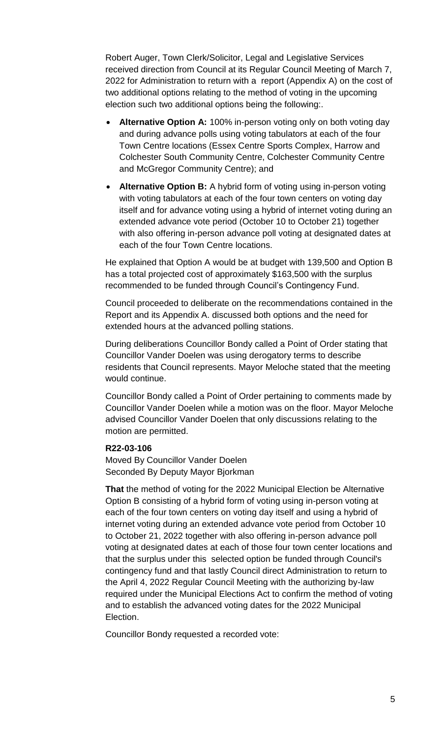Robert Auger, Town Clerk/Solicitor, Legal and Legislative Services received direction from Council at its Regular Council Meeting of March 7, 2022 for Administration to return with a report (Appendix A) on the cost of two additional options relating to the method of voting in the upcoming election such two additional options being the following:.

- **Alternative Option A:** 100% in-person voting only on both voting day and during advance polls using voting tabulators at each of the four Town Centre locations (Essex Centre Sports Complex, Harrow and Colchester South Community Centre, Colchester Community Centre and McGregor Community Centre); and
- **Alternative Option B:** A hybrid form of voting using in-person voting with voting tabulators at each of the four town centers on voting day itself and for advance voting using a hybrid of internet voting during an extended advance vote period (October 10 to October 21) together with also offering in-person advance poll voting at designated dates at each of the four Town Centre locations.

He explained that Option A would be at budget with 139,500 and Option B has a total projected cost of approximately \$163,500 with the surplus recommended to be funded through Council's Contingency Fund.

Council proceeded to deliberate on the recommendations contained in the Report and its Appendix A. discussed both options and the need for extended hours at the advanced polling stations.

During deliberations Councillor Bondy called a Point of Order stating that Councillor Vander Doelen was using derogatory terms to describe residents that Council represents. Mayor Meloche stated that the meeting would continue.

Councillor Bondy called a Point of Order pertaining to comments made by Councillor Vander Doelen while a motion was on the floor. Mayor Meloche advised Councillor Vander Doelen that only discussions relating to the motion are permitted.

### **R22-03-106**

Moved By Councillor Vander Doelen Seconded By Deputy Mayor Bjorkman

**That** the method of voting for the 2022 Municipal Election be Alternative Option B consisting of a hybrid form of voting using in-person voting at each of the four town centers on voting day itself and using a hybrid of internet voting during an extended advance vote period from October 10 to October 21, 2022 together with also offering in-person advance poll voting at designated dates at each of those four town center locations and that the surplus under this selected option be funded through Council's contingency fund and that lastly Council direct Administration to return to the April 4, 2022 Regular Council Meeting with the authorizing by-law required under the Municipal Elections Act to confirm the method of voting and to establish the advanced voting dates for the 2022 Municipal Election.

Councillor Bondy requested a recorded vote: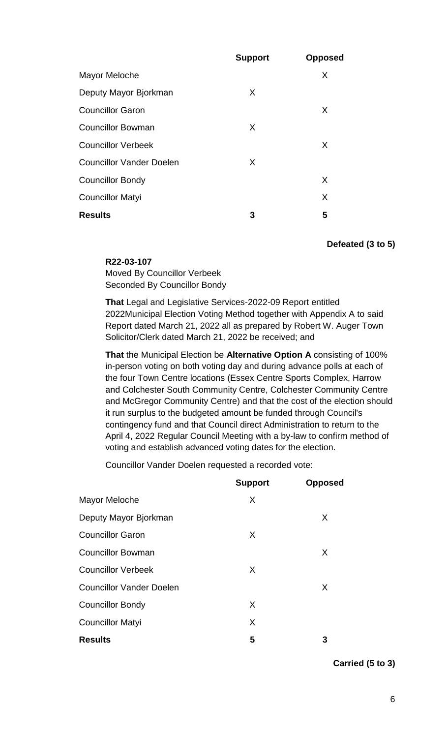| <b>Support</b> | <b>Opposed</b> |
|----------------|----------------|
|                | X              |
| X              |                |
|                | X              |
| X              |                |
|                | X              |
| X              |                |
|                | X              |
|                | X              |
| 3              | 5              |
|                |                |

### **Defeated (3 to 5)**

### **R22-03-107**

Moved By Councillor Verbeek Seconded By Councillor Bondy

**That** Legal and Legislative Services-2022-09 Report entitled 2022Municipal Election Voting Method together with Appendix A to said Report dated March 21, 2022 all as prepared by Robert W. Auger Town Solicitor/Clerk dated March 21, 2022 be received; and

**That** the Municipal Election be **Alternative Option A** consisting of 100% in-person voting on both voting day and during advance polls at each of the four Town Centre locations (Essex Centre Sports Complex, Harrow and Colchester South Community Centre, Colchester Community Centre and McGregor Community Centre) and that the cost of the election should it run surplus to the budgeted amount be funded through Council's contingency fund and that Council direct Administration to return to the April 4, 2022 Regular Council Meeting with a by-law to confirm method of voting and establish advanced voting dates for the election.

Councillor Vander Doelen requested a recorded vote:

| <b>Support</b> | <b>Opposed</b> |
|----------------|----------------|
| X              |                |
|                | X              |
| X              |                |
|                | X              |
| X              |                |
|                | X              |
| X              |                |
| X              |                |
| 5              | 3              |
|                |                |

**Carried (5 to 3)**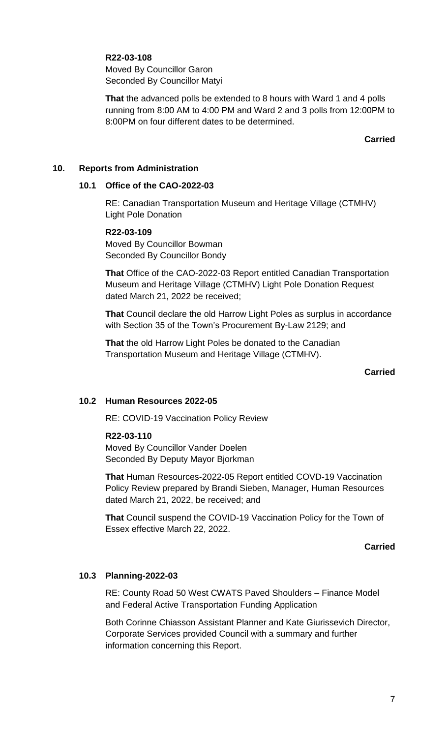### **R22-03-108**

Moved By Councillor Garon Seconded By Councillor Matyi

**That** the advanced polls be extended to 8 hours with Ward 1 and 4 polls running from 8:00 AM to 4:00 PM and Ward 2 and 3 polls from 12:00PM to 8:00PM on four different dates to be determined.

### **Carried**

### **10. Reports from Administration**

# **10.1 Office of the CAO-2022-03**

RE: Canadian Transportation Museum and Heritage Village (CTMHV) Light Pole Donation

### **R22-03-109**

Moved By Councillor Bowman Seconded By Councillor Bondy

**That** Office of the CAO-2022-03 Report entitled Canadian Transportation Museum and Heritage Village (CTMHV) Light Pole Donation Request dated March 21, 2022 be received;

**That** Council declare the old Harrow Light Poles as surplus in accordance with Section 35 of the Town's Procurement By-Law 2129; and

**That** the old Harrow Light Poles be donated to the Canadian Transportation Museum and Heritage Village (CTMHV).

**Carried**

## **10.2 Human Resources 2022-05**

RE: COVID-19 Vaccination Policy Review

### **R22-03-110**

Moved By Councillor Vander Doelen Seconded By Deputy Mayor Bjorkman

**That** Human Resources-2022-05 Report entitled COVD-19 Vaccination Policy Review prepared by Brandi Sieben, Manager, Human Resources dated March 21, 2022, be received; and

**That** Council suspend the COVID-19 Vaccination Policy for the Town of Essex effective March 22, 2022.

### **Carried**

## **10.3 Planning-2022-03**

RE: County Road 50 West CWATS Paved Shoulders – Finance Model and Federal Active Transportation Funding Application

Both Corinne Chiasson Assistant Planner and Kate Giurissevich Director, Corporate Services provided Council with a summary and further information concerning this Report.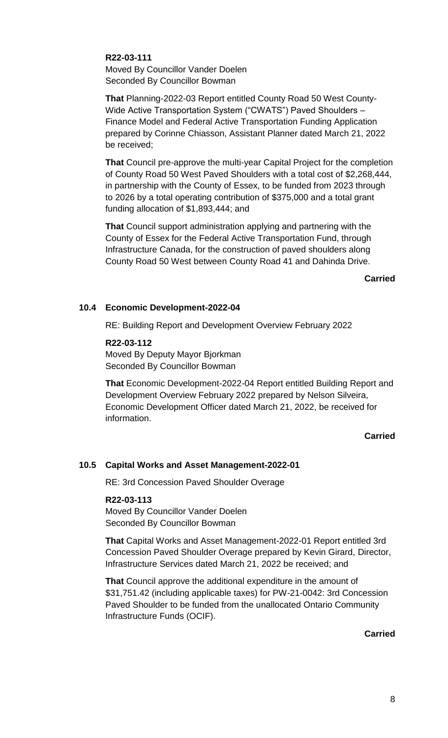**R22-03-111** Moved By Councillor Vander Doelen Seconded By Councillor Bowman

**That** Planning-2022-03 Report entitled County Road 50 West County-Wide Active Transportation System ("CWATS") Paved Shoulders – Finance Model and Federal Active Transportation Funding Application prepared by Corinne Chiasson, Assistant Planner dated March 21, 2022 be received;

**That** Council pre-approve the multi-year Capital Project for the completion of County Road 50 West Paved Shoulders with a total cost of \$2,268,444, in partnership with the County of Essex, to be funded from 2023 through to 2026 by a total operating contribution of \$375,000 and a total grant funding allocation of \$1,893,444; and

**That** Council support administration applying and partnering with the County of Essex for the Federal Active Transportation Fund, through Infrastructure Canada, for the construction of paved shoulders along County Road 50 West between County Road 41 and Dahinda Drive.

**Carried**

# **10.4 Economic Development-2022-04**

RE: Building Report and Development Overview February 2022

**R22-03-112** Moved By Deputy Mayor Bjorkman Seconded By Councillor Bowman

**That** Economic Development-2022-04 Report entitled Building Report and Development Overview February 2022 prepared by Nelson Silveira, Economic Development Officer dated March 21, 2022, be received for information.

# **Carried**

# **10.5 Capital Works and Asset Management-2022-01**

RE: 3rd Concession Paved Shoulder Overage

## **R22-03-113**

Moved By Councillor Vander Doelen Seconded By Councillor Bowman

**That** Capital Works and Asset Management-2022-01 Report entitled 3rd Concession Paved Shoulder Overage prepared by Kevin Girard, Director, Infrastructure Services dated March 21, 2022 be received; and

**That** Council approve the additional expenditure in the amount of \$31,751.42 (including applicable taxes) for PW-21-0042: 3rd Concession Paved Shoulder to be funded from the unallocated Ontario Community Infrastructure Funds (OCIF).

# **Carried**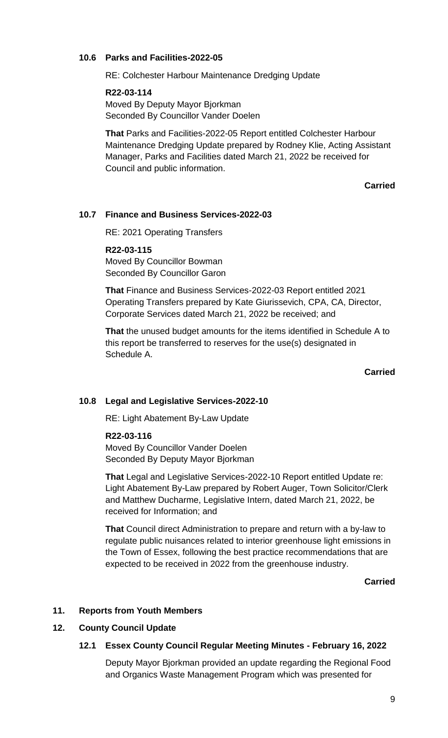## **10.6 Parks and Facilities-2022-05**

RE: Colchester Harbour Maintenance Dredging Update

**R22-03-114** Moved By Deputy Mayor Bjorkman Seconded By Councillor Vander Doelen

**That** Parks and Facilities-2022-05 Report entitled Colchester Harbour Maintenance Dredging Update prepared by Rodney Klie, Acting Assistant Manager, Parks and Facilities dated March 21, 2022 be received for Council and public information.

**Carried**

### **10.7 Finance and Business Services-2022-03**

RE: 2021 Operating Transfers

**R22-03-115** Moved By Councillor Bowman Seconded By Councillor Garon

**That** Finance and Business Services-2022-03 Report entitled 2021 Operating Transfers prepared by Kate Giurissevich, CPA, CA, Director, Corporate Services dated March 21, 2022 be received; and

**That** the unused budget amounts for the items identified in Schedule A to this report be transferred to reserves for the use(s) designated in Schedule A.

**Carried**

## **10.8 Legal and Legislative Services-2022-10**

RE: Light Abatement By-Law Update

### **R22-03-116**

Moved By Councillor Vander Doelen Seconded By Deputy Mayor Bjorkman

**That** Legal and Legislative Services-2022-10 Report entitled Update re: Light Abatement By-Law prepared by Robert Auger, Town Solicitor/Clerk and Matthew Ducharme, Legislative Intern, dated March 21, 2022, be received for Information; and

**That** Council direct Administration to prepare and return with a by-law to regulate public nuisances related to interior greenhouse light emissions in the Town of Essex, following the best practice recommendations that are expected to be received in 2022 from the greenhouse industry.

**Carried**

### **11. Reports from Youth Members**

### **12. County Council Update**

### **12.1 Essex County Council Regular Meeting Minutes - February 16, 2022**

Deputy Mayor Bjorkman provided an update regarding the Regional Food and Organics Waste Management Program which was presented for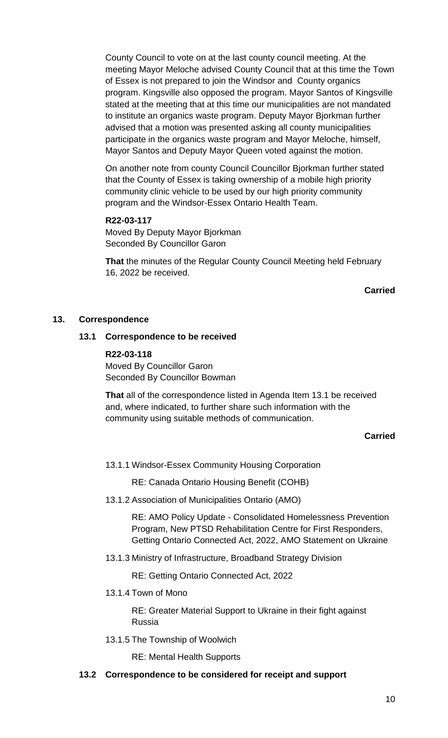County Council to vote on at the last county council meeting. At the meeting Mayor Meloche advised County Council that at this time the Town of Essex is not prepared to join the Windsor and County organics program. Kingsville also opposed the program. Mayor Santos of Kingsville stated at the meeting that at this time our municipalities are not mandated to institute an organics waste program. Deputy Mayor Bjorkman further advised that a motion was presented asking all county municipalities participate in the organics waste program and Mayor Meloche, himself, Mayor Santos and Deputy Mayor Queen voted against the motion.

On another note from county Council Councillor Bjorkman further stated that the County of Essex is taking ownership of a mobile high priority community clinic vehicle to be used by our high priority community program and the Windsor-Essex Ontario Health Team.

## **R22-03-117**

Moved By Deputy Mayor Bjorkman Seconded By Councillor Garon

**That** the minutes of the Regular County Council Meeting held February 16, 2022 be received.

**Carried**

### **13. Correspondence**

### **13.1 Correspondence to be received**

#### **R22-03-118**

Moved By Councillor Garon Seconded By Councillor Bowman

**That** all of the correspondence listed in Agenda Item 13.1 be received and, where indicated, to further share such information with the community using suitable methods of communication.

### **Carried**

13.1.1 Windsor-Essex Community Housing Corporation

RE: Canada Ontario Housing Benefit (COHB)

13.1.2 Association of Municipalities Ontario (AMO)

RE: AMO Policy Update - Consolidated Homelessness Prevention Program, New PTSD Rehabilitation Centre for First Responders, Getting Ontario Connected Act, 2022, AMO Statement on Ukraine

13.1.3 Ministry of Infrastructure, Broadband Strategy Division

RE: Getting Ontario Connected Act, 2022

13.1.4 Town of Mono

RE: Greater Material Support to Ukraine in their fight against Russia

13.1.5 The Township of Woolwich

RE: Mental Health Supports

## **13.2 Correspondence to be considered for receipt and support**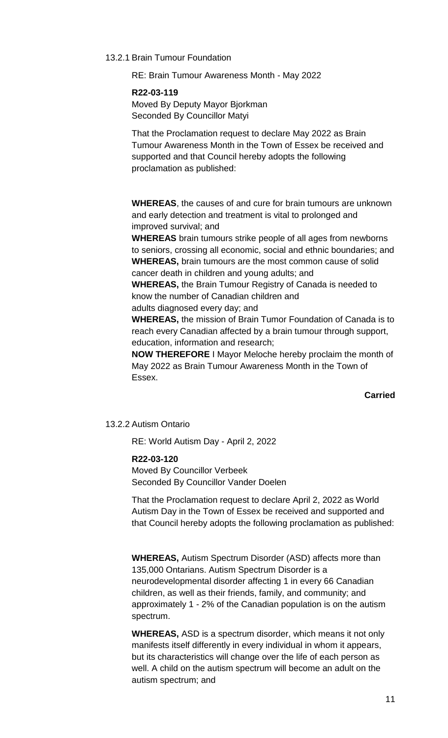13.2.1 Brain Tumour Foundation

RE: Brain Tumour Awareness Month - May 2022

**R22-03-119** Moved By Deputy Mayor Bjorkman Seconded By Councillor Matyi

That the Proclamation request to declare May 2022 as Brain Tumour Awareness Month in the Town of Essex be received and supported and that Council hereby adopts the following proclamation as published:

**WHEREAS**, the causes of and cure for brain tumours are unknown and early detection and treatment is vital to prolonged and improved survival; and

**WHEREAS** brain tumours strike people of all ages from newborns to seniors, crossing all economic, social and ethnic boundaries; and **WHEREAS,** brain tumours are the most common cause of solid cancer death in children and young adults; and

**WHEREAS,** the Brain Tumour Registry of Canada is needed to know the number of Canadian children and

adults diagnosed every day; and

**WHEREAS,** the mission of Brain Tumor Foundation of Canada is to reach every Canadian affected by a brain tumour through support, education, information and research;

**NOW THEREFORE** I Mayor Meloche hereby proclaim the month of May 2022 as Brain Tumour Awareness Month in the Town of Essex.

**Carried**

13.2.2 Autism Ontario

RE: World Autism Day - April 2, 2022

**R22-03-120**

Moved By Councillor Verbeek Seconded By Councillor Vander Doelen

That the Proclamation request to declare April 2, 2022 as World Autism Day in the Town of Essex be received and supported and that Council hereby adopts the following proclamation as published:

**WHEREAS,** Autism Spectrum Disorder (ASD) affects more than 135,000 Ontarians. Autism Spectrum Disorder is a neurodevelopmental disorder affecting 1 in every 66 Canadian children, as well as their friends, family, and community; and approximately 1 - 2% of the Canadian population is on the autism spectrum.

**WHEREAS,** ASD is a spectrum disorder, which means it not only manifests itself differently in every individual in whom it appears, but its characteristics will change over the life of each person as well. A child on the autism spectrum will become an adult on the autism spectrum; and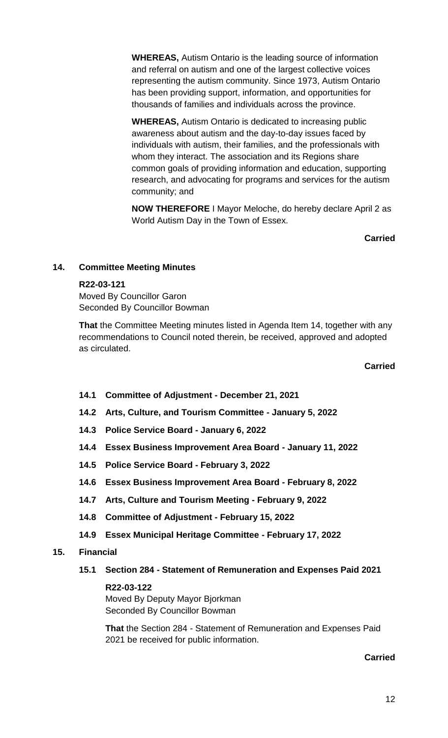**WHEREAS,** Autism Ontario is the leading source of information and referral on autism and one of the largest collective voices representing the autism community. Since 1973, Autism Ontario has been providing support, information, and opportunities for thousands of families and individuals across the province.

**WHEREAS,** Autism Ontario is dedicated to increasing public awareness about autism and the day-to-day issues faced by individuals with autism, their families, and the professionals with whom they interact. The association and its Regions share common goals of providing information and education, supporting research, and advocating for programs and services for the autism community; and

**NOW THEREFORE** I Mayor Meloche, do hereby declare April 2 as World Autism Day in the Town of Essex.

### **Carried**

## **14. Committee Meeting Minutes**

### **R22-03-121**

Moved By Councillor Garon Seconded By Councillor Bowman

**That** the Committee Meeting minutes listed in Agenda Item 14, together with any recommendations to Council noted therein, be received, approved and adopted as circulated.

### **Carried**

- **14.1 Committee of Adjustment - December 21, 2021**
- **14.2 Arts, Culture, and Tourism Committee - January 5, 2022**
- **14.3 Police Service Board - January 6, 2022**
- **14.4 Essex Business Improvement Area Board - January 11, 2022**
- **14.5 Police Service Board - February 3, 2022**
- **14.6 Essex Business Improvement Area Board - February 8, 2022**
- **14.7 Arts, Culture and Tourism Meeting - February 9, 2022**
- **14.8 Committee of Adjustment - February 15, 2022**
- **14.9 Essex Municipal Heritage Committee - February 17, 2022**
- **15. Financial**

### **15.1 Section 284 - Statement of Remuneration and Expenses Paid 2021**

## **R22-03-122**

Moved By Deputy Mayor Bjorkman Seconded By Councillor Bowman

**That** the Section 284 - Statement of Remuneration and Expenses Paid 2021 be received for public information.

### **Carried**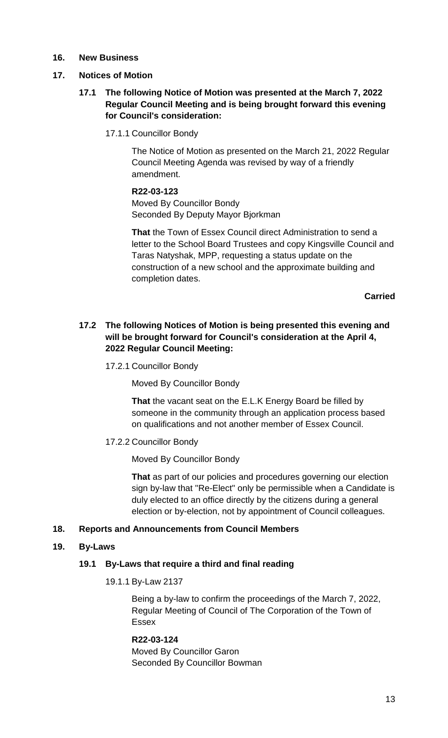**16. New Business**

# **17. Notices of Motion**

# **17.1 The following Notice of Motion was presented at the March 7, 2022 Regular Council Meeting and is being brought forward this evening for Council's consideration:**

17.1.1 Councillor Bondy

The Notice of Motion as presented on the March 21, 2022 Regular Council Meeting Agenda was revised by way of a friendly amendment.

## **R22-03-123**

Moved By Councillor Bondy Seconded By Deputy Mayor Bjorkman

**That** the Town of Essex Council direct Administration to send a letter to the School Board Trustees and copy Kingsville Council and Taras Natyshak, MPP, requesting a status update on the construction of a new school and the approximate building and completion dates.

### **Carried**

# **17.2 The following Notices of Motion is being presented this evening and will be brought forward for Council's consideration at the April 4, 2022 Regular Council Meeting:**

### 17.2.1 Councillor Bondy

Moved By Councillor Bondy

**That** the vacant seat on the E.L.K Energy Board be filled by someone in the community through an application process based on qualifications and not another member of Essex Council.

# 17.2.2 Councillor Bondy

Moved By Councillor Bondy

**That** as part of our policies and procedures governing our election sign by-law that "Re-Elect" only be permissible when a Candidate is duly elected to an office directly by the citizens during a general election or by-election, not by appointment of Council colleagues.

## **18. Reports and Announcements from Council Members**

### **19. By-Laws**

## **19.1 By-Laws that require a third and final reading**

19.1.1 By-Law 2137

Being a by-law to confirm the proceedings of the March 7, 2022, Regular Meeting of Council of The Corporation of the Town of Essex

## **R22-03-124**

Moved By Councillor Garon Seconded By Councillor Bowman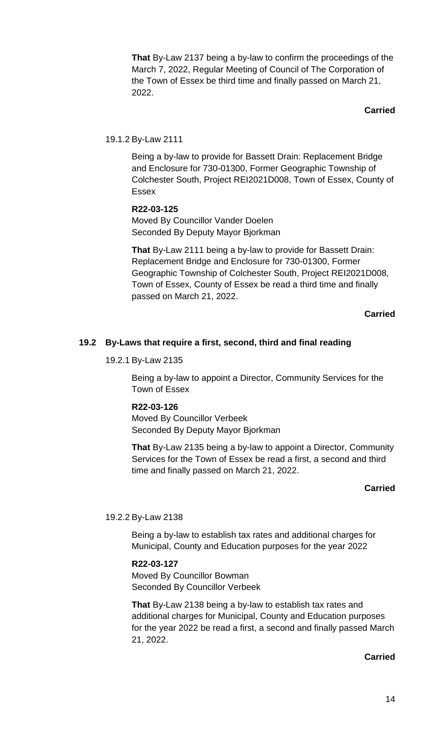**That** By-Law 2137 being a by-law to confirm the proceedings of the March 7, 2022, Regular Meeting of Council of The Corporation of the Town of Essex be third time and finally passed on March 21, 2022.

**Carried**

### 19.1.2 By-Law 2111

Being a by-law to provide for Bassett Drain: Replacement Bridge and Enclosure for 730-01300, Former Geographic Township of Colchester South, Project REI2021D008, Town of Essex, County of Essex

### **R22-03-125**

Moved By Councillor Vander Doelen Seconded By Deputy Mayor Bjorkman

**That** By-Law 2111 being a by-law to provide for Bassett Drain: Replacement Bridge and Enclosure for 730-01300, Former Geographic Township of Colchester South, Project REI2021D008, Town of Essex, County of Essex be read a third time and finally passed on March 21, 2022.

### **Carried**

### **19.2 By-Laws that require a first, second, third and final reading**

19.2.1 By-Law 2135

Being a by-law to appoint a Director, Community Services for the Town of Essex

### **R22-03-126**

Moved By Councillor Verbeek Seconded By Deputy Mayor Bjorkman

**That** By-Law 2135 being a by-law to appoint a Director, Community Services for the Town of Essex be read a first, a second and third time and finally passed on March 21, 2022.

### **Carried**

#### 19.2.2 By-Law 2138

Being a by-law to establish tax rates and additional charges for Municipal, County and Education purposes for the year 2022

### **R22-03-127**

Moved By Councillor Bowman Seconded By Councillor Verbeek

**That** By-Law 2138 being a by-law to establish tax rates and additional charges for Municipal, County and Education purposes for the year 2022 be read a first, a second and finally passed March 21, 2022.

#### **Carried**